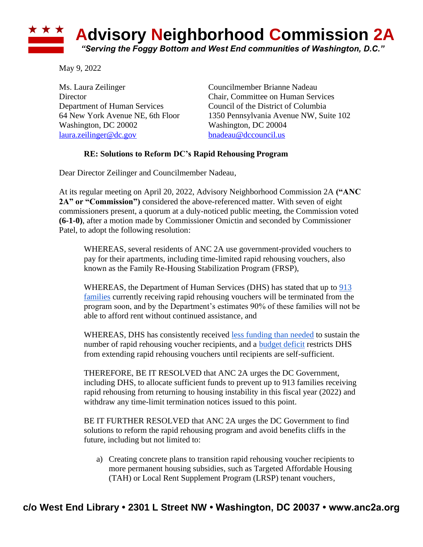

May 9, 2022

Ms. Laura Zeilinger Councilmember Brianne Nadeau Department of Human Services Council of the District of Columbia Washington, DC 20002 Washington, DC 20004 [laura.zeilinger@dc.gov](mailto:laura.zeilinger@dc.gov) [bnadeau@dccouncil.us](mailto:bnadeau@dccouncil.us)

Director Chair, Committee on Human Services 64 New York Avenue NE, 6th Floor 1350 Pennsylvania Avenue NW, Suite 102

## **RE: Solutions to Reform DC's Rapid Rehousing Program**

Dear Director Zeilinger and Councilmember Nadeau,

At its regular meeting on April 20, 2022, Advisory Neighborhood Commission 2A **("ANC 2A" or "Commission")** considered the above-referenced matter. With seven of eight commissioners present, a quorum at a duly-noticed public meeting, the Commission voted **(6-1-0)**, after a motion made by Commissioner Omictin and seconded by Commissioner Patel, to adopt the following resolution:

WHEREAS, several residents of ANC 2A use government-provided vouchers to pay for their apartments, including time-limited rapid rehousing vouchers, also known as the Family Re-Housing Stabilization Program (FRSP),

WHEREAS, the Department of Human Services (DHS) has stated that up to [913](https://static1.squarespace.com/static/5bbd09f3d74562c7f0e4bb10/t/62602b5868e057409a877872/1650469720272/HS+FY23+Report+-+Updated+DRAFT+with+subtitles+-+04.20.22.docx.pdf)  [families](https://static1.squarespace.com/static/5bbd09f3d74562c7f0e4bb10/t/62602b5868e057409a877872/1650469720272/HS+FY23+Report+-+Updated+DRAFT+with+subtitles+-+04.20.22.docx.pdf) currently receiving rapid rehousing vouchers will be terminated from the program soon, and by the Department's estimates 90% of these families will not be able to afford rent without continued assistance, and

WHEREAS, DHS has consistently received [less funding than needed](https://thedcline.org/2022/03/16/amber-harding-will-bowser-administration-really-terminate-913-families-from-housing-assistance-despite-a-billion-dollars-in-unexpected-money/) to sustain the number of rapid rehousing voucher recipients, and a [budget deficit](https://dcist.com/story/21/11/24/pandemic-dc-terminate-rapid-rehousing-subsidies/) restricts DHS from extending rapid rehousing vouchers until recipients are self-sufficient.

THEREFORE, BE IT RESOLVED that ANC 2A urges the DC Government, including DHS, to allocate sufficient funds to prevent up to 913 families receiving rapid rehousing from returning to housing instability in this fiscal year (2022) and withdraw any time-limit termination notices issued to this point.

BE IT FURTHER RESOLVED that ANC 2A urges the DC Government to find solutions to reform the rapid rehousing program and avoid benefits cliffs in the future, including but not limited to:

a) Creating concrete plans to transition rapid rehousing voucher recipients to more permanent housing subsidies, such as Targeted Affordable Housing (TAH) or Local Rent Supplement Program (LRSP) tenant vouchers,